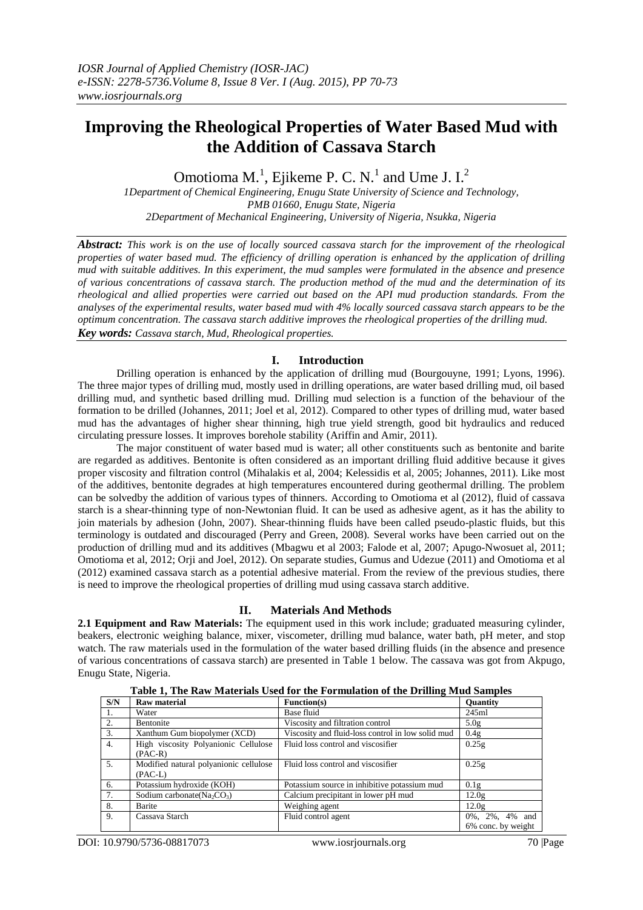# **Improving the Rheological Properties of Water Based Mud with the Addition of Cassava Starch**

Omotioma M.<sup>1</sup>, Ejikeme P. C. N.<sup>1</sup> and Ume J. I.<sup>2</sup>

*1Department of Chemical Engineering, Enugu State University of Science and Technology, PMB 01660, Enugu State, Nigeria 2Department of Mechanical Engineering, University of Nigeria, Nsukka, Nigeria*

*Abstract: This work is on the use of locally sourced cassava starch for the improvement of the rheological properties of water based mud. The efficiency of drilling operation is enhanced by the application of drilling mud with suitable additives. In this experiment, the mud samples were formulated in the absence and presence of various concentrations of cassava starch. The production method of the mud and the determination of its rheological and allied properties were carried out based on the API mud production standards. From the analyses of the experimental results, water based mud with 4% locally sourced cassava starch appears to be the optimum concentration. The cassava starch additive improves the rheological properties of the drilling mud. Key words: Cassava starch, Mud, Rheological properties.*

## **I. Introduction**

Drilling operation is enhanced by the application of drilling mud (Bourgouyne, 1991; Lyons, 1996). The three major types of drilling mud, mostly used in drilling operations, are water based drilling mud, oil based drilling mud, and synthetic based drilling mud. Drilling mud selection is a function of the behaviour of the formation to be drilled (Johannes, 2011; Joel et al, 2012). Compared to other types of drilling mud, water based mud has the advantages of higher shear thinning, high true yield strength, good bit hydraulics and reduced circulating pressure losses. It improves borehole stability (Ariffin and Amir, 2011).

The major constituent of water based mud is water; all other constituents such as bentonite and barite are regarded as additives. Bentonite is often considered as an important drilling fluid additive because it gives proper viscosity and filtration control (Mihalakis et al, 2004; Kelessidis et al, 2005; Johannes, 2011). Like most of the additives, bentonite degrades at high temperatures encountered during geothermal drilling. The problem can be solvedby the addition of various types of thinners. According to Omotioma et al (2012), fluid of cassava starch is a shear-thinning type of non-Newtonian fluid. It can be used as adhesive agent, as it has the ability to join materials by adhesion (John, 2007). Shear-thinning fluids have been called pseudo-plastic fluids, but this terminology is outdated and discouraged (Perry and Green, 2008). Several works have been carried out on the production of drilling mud and its additives (Mbagwu et al 2003; Falode et al, 2007; Apugo-Nwosuet al, 2011; Omotioma et al, 2012; Orji and Joel, 2012). On separate studies, Gumus and Udezue (2011) and Omotioma et al (2012) examined cassava starch as a potential adhesive material. From the review of the previous studies, there is need to improve the rheological properties of drilling mud using cassava starch additive.

# **II. Materials And Methods**

**2.1 Equipment and Raw Materials:** The equipment used in this work include; graduated measuring cylinder, beakers, electronic weighing balance, mixer, viscometer, drilling mud balance, water bath, pH meter, and stop watch. The raw materials used in the formulation of the water based drilling fluids (in the absence and presence of various concentrations of cassava starch) are presented in Table 1 below. The cassava was got from Akpugo, Enugu State, Nigeria.

| S/N              | <b>Raw material</b>                    | Function(s)                                       | <b>Ouantity</b>    |
|------------------|----------------------------------------|---------------------------------------------------|--------------------|
| -1.              | Water                                  | Base fluid                                        | 245ml              |
| 2.               | Bentonite                              | Viscosity and filtration control                  | 5.0g               |
| 3.               | Xanthum Gum biopolymer (XCD)           | Viscosity and fluid-loss control in low solid mud | 0.4g               |
| $\overline{4}$ . | High viscosity Polyanionic Cellulose   | Fluid loss control and viscosifier                | 0.25g              |
|                  | $(PAC-R)$                              |                                                   |                    |
| 5.               | Modified natural polyanionic cellulose | Fluid loss control and viscosifier                | 0.25g              |
|                  | $(PAC-L)$                              |                                                   |                    |
| 6.               | Potassium hydroxide (KOH)              | Potassium source in inhibitive potassium mud      | 0.1g               |
| 7.               | Sodium carbonate ( $Na_2CO_3$ )        | Calcium precipitant in lower pH mud               | 12.0g              |
| 8.               | Barite                                 | Weighing agent                                    | 12.0g              |
| 9.               | Cassava Starch                         | Fluid control agent                               | 0%, 2%, 4% and     |
|                  |                                        |                                                   | 6% conc. by weight |

**Table 1, The Raw Materials Used for the Formulation of the Drilling Mud Samples**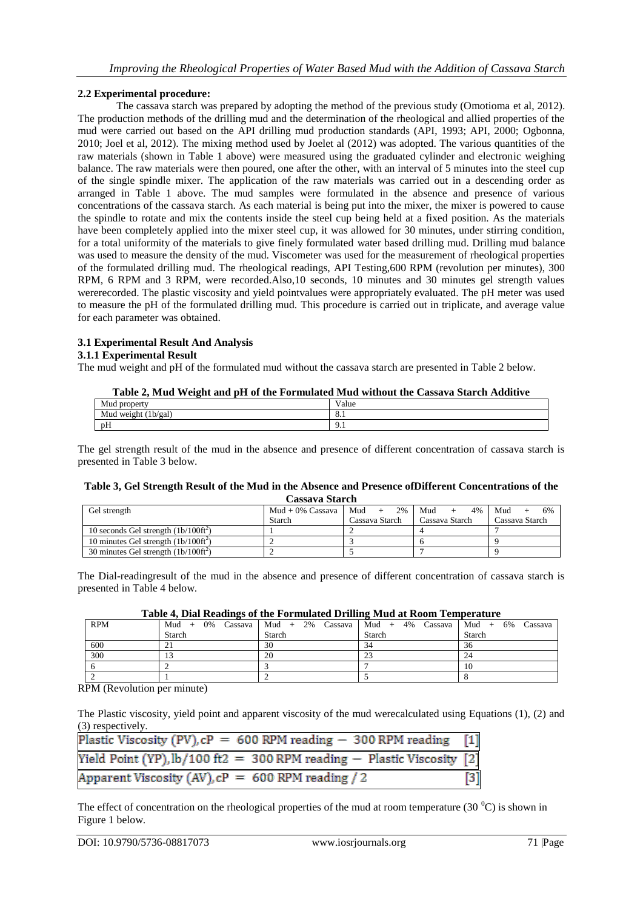## **2.2 Experimental procedure:**

The cassava starch was prepared by adopting the method of the previous study (Omotioma et al, 2012). The production methods of the drilling mud and the determination of the rheological and allied properties of the mud were carried out based on the API drilling mud production standards (API, 1993; API, 2000; Ogbonna, 2010; Joel et al, 2012). The mixing method used by Joelet al (2012) was adopted. The various quantities of the raw materials (shown in Table 1 above) were measured using the graduated cylinder and electronic weighing balance. The raw materials were then poured, one after the other, with an interval of 5 minutes into the steel cup of the single spindle mixer. The application of the raw materials was carried out in a descending order as arranged in Table 1 above. The mud samples were formulated in the absence and presence of various concentrations of the cassava starch. As each material is being put into the mixer, the mixer is powered to cause the spindle to rotate and mix the contents inside the steel cup being held at a fixed position. As the materials have been completely applied into the mixer steel cup, it was allowed for 30 minutes, under stirring condition, for a total uniformity of the materials to give finely formulated water based drilling mud. Drilling mud balance was used to measure the density of the mud. Viscometer was used for the measurement of rheological properties of the formulated drilling mud. The rheological readings, API Testing,600 RPM (revolution per minutes), 300 RPM, 6 RPM and 3 RPM, were recorded.Also,10 seconds, 10 minutes and 30 minutes gel strength values wererecorded. The plastic viscosity and yield pointvalues were appropriately evaluated. The pH meter was used to measure the pH of the formulated drilling mud. This procedure is carried out in triplicate, and average value for each parameter was obtained.

## **3.1 Experimental Result And Analysis**

## **3.1.1 Experimental Result**

The mud weight and pH of the formulated mud without the cassava starch are presented in Table 2 below.

| Mud propert                  | $\mathbf{v}$<br>Value |
|------------------------------|-----------------------|
| Mud weight<br>'1b/gai<br>. . | ъ.<br>O.1             |
| $\sim$ $\sim$<br>pH          | -u<br><b>7.1</b>      |

The gel strength result of the mud in the absence and presence of different concentration of cassava starch is presented in Table 3 below.

#### **Table 3, Gel Strength Result of the Mud in the Absence and Presence ofDifferent Concentrations of the Cassava Starch**

| Gel strength                                  | $Mud + 0\%$ Cassava Mud + | 2%             | Mud<br>4%      | Mud<br>6%      |
|-----------------------------------------------|---------------------------|----------------|----------------|----------------|
|                                               | Starch                    | Cassava Starch | Cassava Starch | Cassava Starch |
| 10 seconds Gel strength $(1b/100\text{ft}^2)$ |                           |                |                |                |
| 10 minutes Gel strength $(1b/100ft^2)$        |                           |                |                |                |
| 30 minutes Gel strength $(1b/100ft^2)$        |                           |                |                |                |

The Dial-readingresult of the mud in the absence and presence of different concentration of cassava starch is presented in Table 4 below.

|  | Table 4, Dial Readings of the Formulated Drilling Mud at Room Temperature |  |  |
|--|---------------------------------------------------------------------------|--|--|
|  |                                                                           |  |  |

| <b>RPM</b> | 0%<br>$Mud +$ |        | Cassava   Mud + 2% Cassava   Mud + 4% Cassava   Mud + 6% Cassava |        |  |  |
|------------|---------------|--------|------------------------------------------------------------------|--------|--|--|
|            | Starch        | Starch | Starch                                                           | Starch |  |  |
| 600        |               | 30     |                                                                  | 36     |  |  |
| 300        |               | 20     |                                                                  | 24     |  |  |
|            |               |        |                                                                  | 10     |  |  |
|            |               |        |                                                                  |        |  |  |

RPM (Revolution per minute)

The Plastic viscosity, yield point and apparent viscosity of the mud werecalculated using Equations (1), (2) and (3) respectively.

| Plastic Viscosity (PV), $cP = 600$ RPM reading $- 300$ RPM reading [1]    |       |
|---------------------------------------------------------------------------|-------|
| Yield Point (YP), $\frac{1}{2}$ = 300 RPM reading - Plastic Viscosity [2] |       |
| Apparent Viscosity (AV), $cP = 600$ RPM reading / 2                       | $[3]$ |

The effect of concentration on the rheological properties of the mud at room temperature (30  $^{\circ}$ C) is shown in Figure 1 below.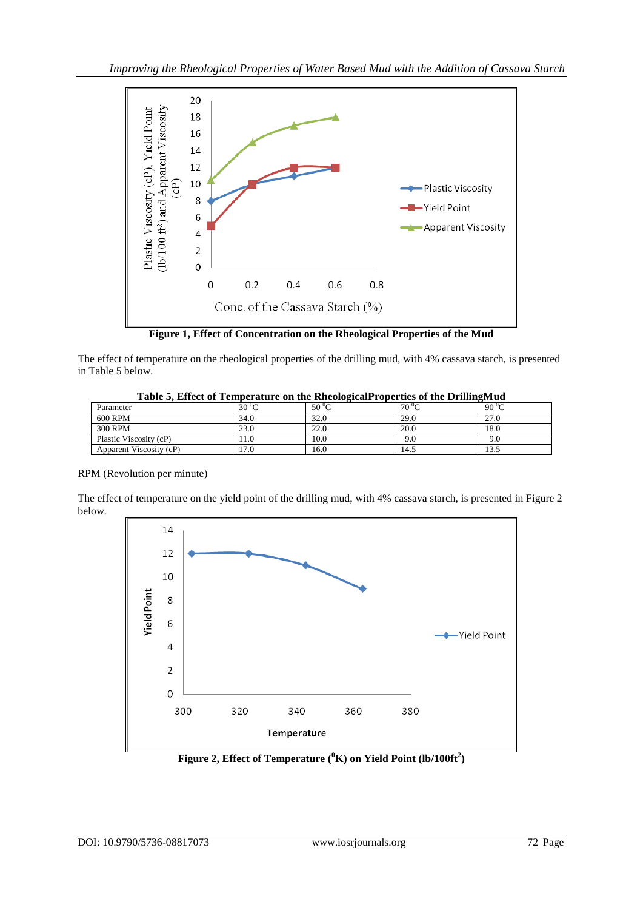

**Figure 1, Effect of Concentration on the Rheological Properties of the Mud**

The effect of temperature on the rheological properties of the drilling mud, with 4% cassava starch, is presented in Table 5 below.

| Table 5, Effect of Temperature on the Kneological Topernes of the Drimightud |                |                |           |               |  |  |
|------------------------------------------------------------------------------|----------------|----------------|-----------|---------------|--|--|
| Parameter                                                                    | $30^{\circ}$ C | $50^{\circ}$ C | $70\,^0C$ | 90 $\rm{^0C}$ |  |  |
| 600 RPM                                                                      | 34.0           | 32.0           | 29.0      | 27.0          |  |  |
| 300 RPM                                                                      | 23.0           | 22.0           | 20.0      | 18.0          |  |  |
| Plastic Viscosity (cP)                                                       |                | 10.0           | 9.0       | 9.0           |  |  |
| Apparent Viscosity (cP)                                                      | 7.0            | 16.0           | 14.5      | 13.5          |  |  |

| Table 5, Effect of Temperature on the RheologicalProperties of the DrillingMud |  |
|--------------------------------------------------------------------------------|--|
|                                                                                |  |

# RPM (Revolution per minute)

The effect of temperature on the yield point of the drilling mud, with 4% cassava starch, is presented in Figure 2 below.



**Figure 2, Effect of Temperature (<sup>0</sup>K) on Yield Point (lb/100ft<sup>2</sup> )**